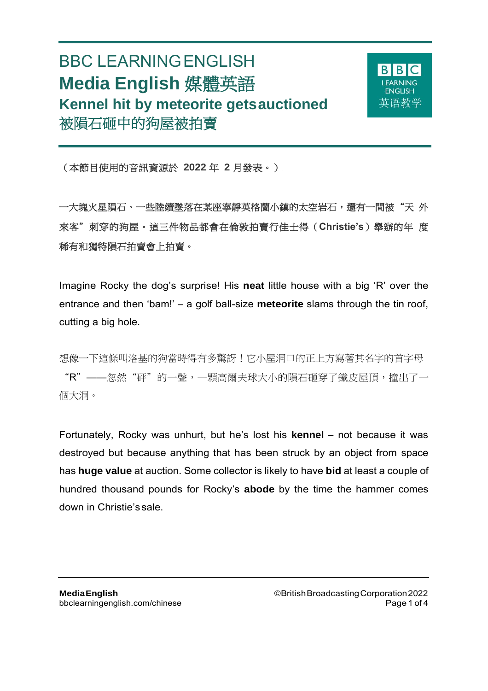# BBC LEARNINGENGLISH **Media English** 媒體英語 **Kennel hit by meteorite getsauctioned** 被隕石砸中的狗屋被拍賣



(本節目使用的音訊資源於 **2022** 年 **2** 月發表。)

一大塊火星隕石、一些陸續墜落在某座寧靜英格蘭小鎮的太空岩石,還有一間被"天 外 來客"刺穿的狗屋。這三件物品都會在倫敦拍賣行佳士得(**Christie's**)舉辦的年 度 稀有和獨特隕石拍賣會上拍賣。

Imagine Rocky the dog's surprise! His **neat** little house with a big 'R' over the entrance and then 'bam!' – a golf ball-size **meteorite** slams through the tin roof, cutting a big hole.

想像一下這條叫洛基的狗當時得有多驚訝!它小屋洞口的正上方寫著其名字的首字母 "R"——忽然"砰"的一聲,一顆高爾夫球大小的隕石砸穿了鐵皮屋頂,撞出了一 個大洞。

Fortunately, Rocky was unhurt, but he's lost his **kennel** – not because it was destroyed but because anything that has been struck by an object from space has **huge value** at auction. Some collector is likely to have **bid** at least a couple of hundred thousand pounds for Rocky's **abode** by the time the hammer comes down in Christie's sale.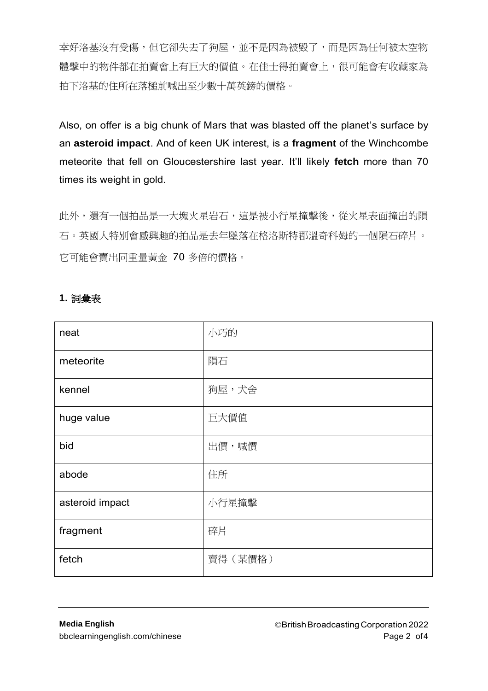幸好洛基沒有受傷,但它卻失去了狗屋,並不是因為被毀了,而是因為任何被太空物 體擊中的物件都在拍賣會上方的價值。在佳士得拍賣會上,很可能會有收藏家為 拍下洛基的住所在落槌前喊出至少數十萬英鎊的價格。

Also, on offer is a big chunk of Mars that was blasted off the planet's surface by an **asteroid impact**. And of keen UK interest, is a **fragment** of the Winchcombe meteorite that fell on Gloucestershire last year. It'll likely **fetch** more than 70 times its weight in gold.

此外,還有一個拍品是一大塊火星岩石,這是被小行星撞擊後,從火星表面撞出的隕 石。英國人特別會感興趣的拍品是去年墜落在格洛斯特郡溫奇科姆的一個隕石碎片。 它可能會賣出同重量黃金 70 多倍的價格。

| neat            | 小巧的     |
|-----------------|---------|
| meteorite       | 隕石      |
| kennel          | 狗屋,犬舍   |
| huge value      | 巨大價值    |
| bid             | 出價,喊價   |
| abode           | 住所      |
| asteroid impact | 小行星撞擊   |
| fragment        | 碎片      |
| fetch           | 賣得(某價格) |

## **1.** 詞彙表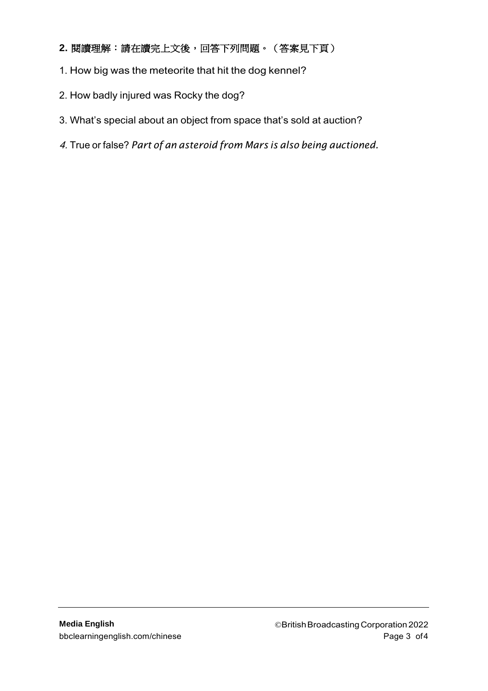## **2.** 閱讀理解:請在讀完上文後,回答下列問題。(答案見下頁)

- 1. How big was the meteorite that hit the dog kennel?
- 2. How badly injured was Rocky the dog?
- 3. What's special about an object from space that's sold at auction?
- 4. True or false? *Part of an asteroid from Mars is also being auctioned.*